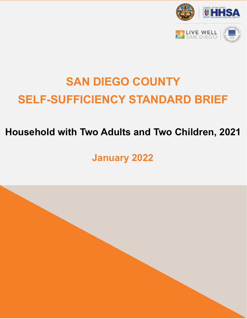

# **SELF-SUFFICIENCY STANDARD BRIEF SAN DIEGO COUNTY**

### **Household with Two Adults and Two Children, 2021**

**January 2022**

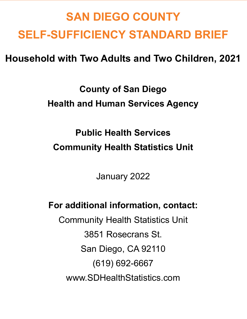## **SAN DIEGO COUNTY SELF-SUFFICIENCY STANDARD BRIEF**

**Household with Two Adults and Two Children, 2021**

**County of San Diego Health and Human Services Agency**

**Public Health Services Community Health Statistics Unit**

January 2022

**For additional information, contact:**

Community Health Statistics Unit 3851 Rosecrans St. San Diego, CA 92110 (619) 692-6667 [www.SDHealthStatistics.com](http://www.sdhealthstatistics.com/)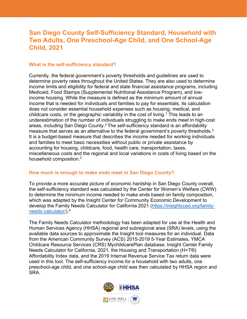### **San Diego County Self-Sufficiency Standard, Household with Two Adults, One Preschool-Age Child, and One School-Age Child, 2021**

#### **What is the self-sufficiency standard?**

Currently, the federal government's poverty thresholds and guidelines are used to determine poverty rates throughout the United States. They are also used to determine income limits and eligibility for federal and state financial assistance programs, including Medicaid, Food Stamps (Supplemental Nutritional Assistance Program), and lowincome housing. While the measure is defined as the minimum amount of annual income that is needed for individuals and families to pay for essentials, its calculation does not consider essential household expenses such as housing, medical, and childcare costs, or the geographic variability in the cost of living.<sup>1</sup> This leads to an underestimation of the number of individuals struggling to make ends meet in high-cost areas, including San Diego County.<sup>2</sup> The self-sufficiency standard is an affordability measure that serves as an alternative to the federal government's poverty thresholds.<sup>3</sup> It is a budget-based measure that describes the income needed for working individuals and families to meet basic necessities without public or private assistance by accounting for housing, childcare, food, health care, transportation, taxes, miscellaneous costs and the regional and local variations in costs of living based on the household composition.<sup>3</sup>

#### **How much is enough to make ends meet in San Diego County?**

To provide a more accurate picture of economic hardship in San Diego County overall, the self-sufficiency standard was calculated by the Center for Women's Welfare (CWW) to determine the minimum income needed to make ends based on family composition, which was adapted by the Insight Center for Community Economic Development to develop the Family Needs Calculator for California 2021 [\(https://insightcced.org/family](https://insightcced.org/family-needs-calculator/)[needs-calculator/\)](https://insightcced.org/family-needs-calculator/). 4

The Family Needs Calculator methodology has been adapted for use at the Health and Human Services Agency (HHSA) regional and subregional area (SRA) levels, using the available data sources to approximate the Insight tool measures for an individual. Data from the American Community Survey (ACS) 2015-2019 5-Year Estimates, YMCA Childcare Resource Services (CRS) MychildcarePlan database, Insight Center Family Needs Calculator for California, 2021, the Housing and Transportation (H+T®) Affordability Index data, and the 2019 Internal Revenue Service Tax return data were used in this tool. The self-sufficiency income for a household with two adults, one preschool-age child, and one school-age child was then calculated by HHSA region and SRA.

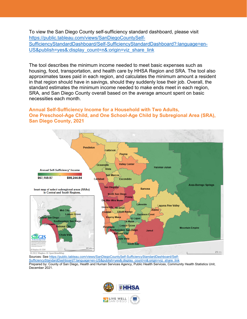To view the San Diego County self-sufficiency standard dashboard, please visit [https://public.tableau.com/views/SanDiegoCountySelf-](https://public.tableau.com/views/SanDiegoCountySelf-SufficiencyStandardDashboard/Self-SufficiencyStandardDashboard?:language=en-US&publish=yes&:display_count=n&:origin=viz_share_link)[SufficiencyStandardDashboard/Self-SufficiencyStandardDashboard?:language=en-](https://public.tableau.com/views/SanDiegoCountySelf-SufficiencyStandardDashboard/Self-SufficiencyStandardDashboard?:language=en-US&publish=yes&:display_count=n&:origin=viz_share_link)[US&publish=yes&:display\\_count=n&:origin=viz\\_share\\_link](https://public.tableau.com/views/SanDiegoCountySelf-SufficiencyStandardDashboard/Self-SufficiencyStandardDashboard?:language=en-US&publish=yes&:display_count=n&:origin=viz_share_link)

The tool describes the minimum income needed to meet basic expenses such as housing, food, transportation, and health care by HHSA Region and SRA. The tool also approximates taxes paid in each region, and calculates the minimum amount a resident in that region should have in savings, should they suddenly lose their job. Overall, the standard estimates the minimum income needed to make ends meet in each region, SRA, and San Diego County overall based on the average amount spent on basic necessities each month.

#### **Annual Self-Sufficiency Income for a Household with Two Adults, One Preschool-Age Child, and One School-Age Child by Subregional Area (SRA), San Diego County, 2021**



[SufficiencyStandardDashboard?:language=en-US&publish=yes&:display\\_count=n&:origin=viz\\_share\\_link](https://public.tableau.com/views/SanDiegoCountySelf-SufficiencyStandardDashboard/Self-SufficiencyStandardDashboard?:language=en-US&publish=yes&:display_count=n&:origin=viz_share_link) Prepared by: County of San Diego, Health and Human Services Agency, Public Health Services, Community Health Statistics Unit, December 2021.

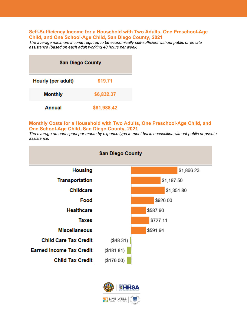#### **Self-Sufficiency Income for a Household with Two Adults, One Preschool-Age Child, and One School-Age Child, San Diego County, 2021**

*The average minimum income required to be economically self-sufficient without public or private assistance (based on each adult working 40 hours per week).*

| <b>San Diego County</b> |             |
|-------------------------|-------------|
| Hourly (per adult)      | \$19.71     |
| <b>Monthly</b>          | \$6,832.37  |
| Annual                  | \$81,988.42 |

#### **Monthly Costs for a Household with Two Adults, One Preschool-Age Child, and One School-Age Child, San Diego County, 2021**

*The average amount spent per month by expense type to meet basic necessities without public or private assistance.*



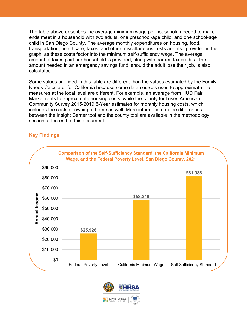The table above describes the average minimum wage per household needed to make ends meet in a household with two adults, one preschool-age child, and one school-age child in San Diego County. The average monthly expenditures on housing, food, transportation, healthcare, taxes, and other miscellaneous costs are also provided in the graph, as these costs factor into the minimum self-sufficiency wage. The average amount of taxes paid per household is provided, along with earned tax credits. The amount needed in an emergency savings fund, should the adult lose their job, is also calculated.

Some values provided in this table are different than the values estimated by the Family Needs Calculator for California because some data sources used to approximate the measures at the local level are different. For example, an average from HUD Fair Market rents to approximate housing costs, while the county tool uses American Community Survey 2015-2019 5-Year estimates for monthly housing costs, which includes the costs of owning a home as well. More information on the differences between the Insight Center tool and the county tool are available in the methodology section at the end of this document.

#### **Key Findings**



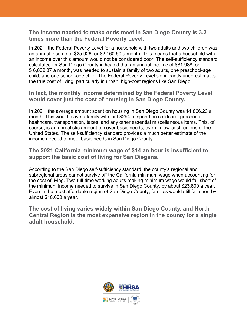**The income needed to make ends meet in San Diego County is 3.2 times more than the Federal Poverty Level.** 

In 2021, the Federal Poverty Level for a household with two adults and two children was an annual income of \$25,926, or \$2,160.50 a month. This means that a household with an income over this amount would not be considered poor. The self-sufficiency standard calculated for San Diego County indicated that an annual income of \$81,988, or \$ 6,832.37 a month, was needed to sustain a family of two adults, one preschool-age child, and one school-age child. The Federal Poverty Level significantly underestimates the true cost of living, particularly in urban, high-cost regions like San Diego.

**In fact, the monthly income determined by the Federal Poverty Level would cover just the cost of housing in San Diego County.** 

In 2021, the average amount spent on housing in San Diego County was \$1,866.23 a month. This would leave a family with just \$294 to spend on childcare, groceries, healthcare, transportation, taxes, and any other essential miscellaneous items. This, of course, is an unrealistic amount to cover basic needs, even in low-cost regions of the United States. The self-sufficiency standard provides a much better estimate of the income needed to meet basic needs in San Diego County.

**The 2021 California minimum wage of \$14 an hour is insufficient to support the basic cost of living for San Diegans.**

According to the San Diego self-sufficiency standard, the county's regional and subregional areas cannot survive off the California minimum wage when accounting for the cost of living. Two full-time working adults making minimum wage would fall short of the minimum income needed to survive in San Diego County, by about \$23,800 a year. Even in the most affordable region of San Diego County, families would still fall short by almost \$10,000 a year.

**The cost of living varies widely within San Diego County, and North Central Region is the most expensive region in the county for a single adult household.** 

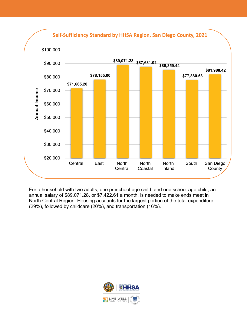

For a household with two adults, one preschool-age child, and one school-age child, an annual salary of \$89,071.28, or \$7,422.61 a month, is needed to make ends meet in North Central Region. Housing accounts for the largest portion of the total expenditure (29%), followed by childcare (20%), and transportation (16%).

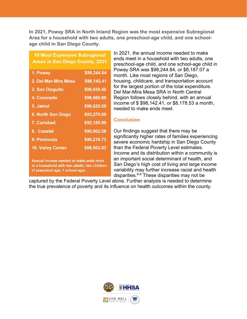**In 2021, Poway SRA in North Inland Region was the most expensive Subregional Area for a household with two adults, one preschool-age child, and one schoolage child in San Diego County.** 

#### **10 Most Expensive Subregional Areas in San Diego County, 2021**

| 1. Poway                 | \$98,244.84 |
|--------------------------|-------------|
| 2. Del Mar-Mira Mesa     | \$98,142.41 |
| <b>3. San Dieguito</b>   | \$96,939.48 |
| <b>4. Coronado</b>       | \$96,666.89 |
| 5. Jamul                 | \$96,628.59 |
| 6. North San Diego       | \$93,279.09 |
| <b>7. Carlsbad</b>       | \$92,155.89 |
| 8. Coastal               | \$90,902.58 |
| 9. Peninsula             | \$90,216.73 |
| <b>10. Valley Center</b> | \$88,602.83 |
|                          |             |

Annual income needed to make ends meet in a household with two adults, two children (1 preschool age, 1 school age).

In 2021, the annual income needed to make ends meet in a household with two adults, one preschool-age child, and one school-age child in Poway SRA was \$98,244.84, or \$8,187.07 a month. Like most regions of San Diego, housing, childcare, and transportation account for the largest portion of the total expenditure. Del Mar-Mira Mesa SRA in North Central Region follows closely behind, with an annual income of \$ \$98,142.41, or \$8,178.53 a month, needed to make ends meet.

#### **Conclusion**

Our findings suggest that there may be significantly higher rates of families experiencing severe economic hardship in San Diego County than the Federal Poverty Level estimates. Income and its distribution within a community is an important social determinant of health, and San Diego's high cost of living and large income variability may further increase racial and health disparities. $6-8$  These disparities may not be

captured by the Federal Poverty Level alone. Further analysis is needed to determine the true prevalence of poverty and its influence on health outcomes within the county.

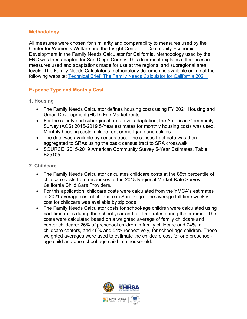#### **Methodology**

All measures were chosen for similarity and comparability to measures used by the Center for Women's Welfare and the Insight Center for Community Economic Development in the Family Needs Calculator for California. Methodology used by the FNC was then adapted for San Diego County. This document explains differences in measures used and adaptations made for use at the regional and subregional area levels. The Family Needs Calculator's methodology document is available online at the following website: [Technical Brief: The Family Needs Calculator for California 2021.](http://www.selfsufficiencystandard.org/wp-content/uploads/2021/12/CA2021_TechnicalAppendix.pdf)

#### **Expense Type and Monthly Cost**

- **1. Housing**
	- The Family Needs Calculator defines housing costs using FY 2021 Housing and Urban Development (HUD) Fair Market rents.
	- For the county and subregional area level adaptation, the American Community Survey (ACS) 2015-2019 5-Year estimates for monthly housing costs was used. Monthly housing costs include rent or mortgage and utilities.
	- The data was available by census tract. The census tract data was then aggregated to SRAs using the basic census tract to SRA crosswalk.
	- SOURCE: 2015-2019 American Community Survey 5-Year Estimates, Table B25105.
- **2. Childcare**
	- The Family Needs Calculator calculates childcare costs at the 85th percentile of childcare costs from responses to the 2018 Regional Market Rate Survey of California Child Care Providers.
	- For this application, childcare costs were calculated from the YMCA's estimates of 2021 average cost of childcare in San Diego. The average full-time weekly cost for childcare was available by zip code.
	- The Family Needs Calculator costs for school-age children were calculated using part-time rates during the school year and full-time rates during the summer. The costs were calculated based on a weighted average of family childcare and center childcare: 26% of preschool children in family childcare and 74% in childcare centers, and 46% and 54% respectively, for school-age children. These weighted averages were used to estimate the childcare cost for one preschoolage child and one school-age child in a household.

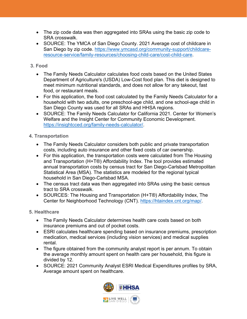- The zip code data was then aggregated into SRAs using the basic zip code to SRA crosswalk.
- SOURCE: The YMCA of San Diego County. 2021 Average cost of childcare in San Diego by zip code. [https://www.ymcasd.org/community-support/childcare](https://www.ymcasd.org/community-support/childcare-resource-service/family-resources/choosing-child-care/cost-child-care)[resource-service/family-resources/choosing-child-care/cost-child-care.](https://www.ymcasd.org/community-support/childcare-resource-service/family-resources/choosing-child-care/cost-child-care)

#### **3. Food**

- The Family Needs Calculator calculates food costs based on the United States Department of Agriculture's (USDA) Low-Cost food plan. This diet is designed to meet minimum nutritional standards, and does not allow for any takeout, fast food, or restaurant meals.
- For this application, the food cost calculated by the Family Needs Calculator for a household with two adults, one preschool-age child, and one school-age child in San Diego County was used for all SRAs and HHSA regions.
- SOURCE: The Family Needs Calculator for California 2021. Center for Women's Welfare and the Insight Center for Community Economic Development. [https://insightcced.org/family-needs-calculator/.](https://insightcced.org/family-needs-calculator/)

#### **4. Transportation**

- The Family Needs Calculator considers both public and private transportation costs, including auto insurance and other fixed costs of car ownership.
- For this application, the transportation costs were calculated from The Housing and Transportation (H+T®) Affordability Index. The tool provides estimated annual transportation costs by census tract for San Diego-Carlsbad Metropolitan Statistical Area (MSA). The statistics are modeled for the regional typical household in San Diego-Carlsbad MSA.
- The census tract data was then aggregated into SRAs using the basic census tract to SRA crosswalk.
- SOURCES: The Housing and Transportation (H+T®) Affordability Index, The Center for Neighborhood Technology (CNT). [https://htaindex.cnt.org/map/.](https://htaindex.cnt.org/map/)

#### **5. Healthcare**

- The Family Needs Calculator determines health care costs based on both insurance premiums and out of pocket costs.
- ESRI calculates healthcare spending based on insurance premiums, prescription medication, medical services (including vision services) and medical supplies rental.
- The figure obtained from the community analyst report is per annum. To obtain the average monthly amount spent on health care per household, this figure is divided by 12.
- SOURCE: 2021 Community Analyst ESRI Medical Expenditures profiles by SRA, Average amount spent on healthcare.

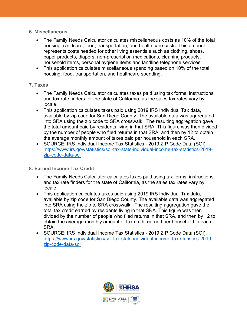- **6. Miscellaneous**
	- The Family Needs Calculator calculates miscellaneous costs as 10% of the total housing, childcare, food, transportation, and health care costs. This amount represents costs needed for other living essentials such as clothing, shoes, paper products, diapers, non-prescription medications, cleaning products, household items, personal hygiene items and landline telephone services.
	- This application calculates miscellaneous spending based on 10% of the total housing, food, transportation, and healthcare spending.

#### **7. Taxes**

- The Family Needs Calculator calculates taxes paid using tax forms, instructions, and tax rate finders for the state of California, as the sales tax rates vary by locale.
- This application calculates taxes paid using 2019 IRS Individual Tax data, available by zip code for San Diego County. The available data was aggregated into SRA using the zip code to SRA crosswalk. The resulting aggregation gave the total amount paid by residents living in that SRA. This figure was then divided by the number of people who filed returns in that SRA, and then by 12 to obtain the average monthly amount of taxes paid per household in each SRA.
- SOURCE: IRS Individual Income Tax Statistics 2019 ZIP Code Data (SOI). [https://www.irs.gov/statistics/soi-tax-stats-individual-income-tax-statistics-2019](https://www.irs.gov/statistics/soi-tax-stats-individual-income-tax-statistics-2019-zip-code-data-soi) [zip-code-data-soi](https://www.irs.gov/statistics/soi-tax-stats-individual-income-tax-statistics-2019-zip-code-data-soi)

#### **8. Earned Income Tax Credit**

- The Family Needs Calculator calculates taxes paid using tax forms, instructions, and tax rate finders for the state of California, as the sales tax rates vary by locale.
- This application calculates taxes paid using 2019 IRS Individual Tax data, available by zip code for San Diego County. The available data was aggregated into SRA using the zip to SRA crosswalk. The resulting aggregation gave the total tax credit earned by residents living in that SRA. This figure was then divided by the number of people who filed returns in that SRA, and then by 12 to obtain the average monthly amount of tax credit earned per household in each SRA.
- SOURCE: IRS Individual Income Tax Statistics 2019 ZIP Code Data (SOI). [https://www.irs.gov/statistics/soi-tax-stats-individual-income-tax-statistics-2019](https://www.irs.gov/statistics/soi-tax-stats-individual-income-tax-statistics-2019-zip-code-data-soi) [zip-code-data-soi](https://www.irs.gov/statistics/soi-tax-stats-individual-income-tax-statistics-2019-zip-code-data-soi)

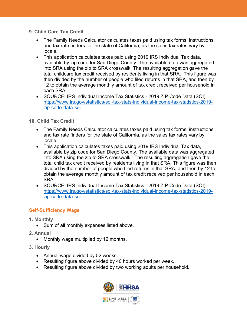- **9. Child Care Tax Credit**
	- The Family Needs Calculator calculates taxes paid using tax forms, instructions, and tax rate finders for the state of California, as the sales tax rates vary by locale.
	- This application calculates taxes paid using 2019 IRS Individual Tax data, available by zip code for San Diego County. The available data was aggregated into SRA using the zip to SRA crosswalk. The resulting aggregation gave the total childcare tax credit received by residents living in that SRA. This figure was then divided by the number of people who filed returns in that SRA, and then by 12 to obtain the average monthly amount of tax credit received per household in each SRA.
	- SOURCE: IRS Individual Income Tax Statistics 2019 ZIP Code Data (SOI). [https://www.irs.gov/statistics/soi-tax-stats-individual-income-tax-statistics-2019](https://www.irs.gov/statistics/soi-tax-stats-individual-income-tax-statistics-2019-zip-code-data-soi) [zip-code-data-soi](https://www.irs.gov/statistics/soi-tax-stats-individual-income-tax-statistics-2019-zip-code-data-soi)

#### **10. Child Tax Credit**

- The Family Needs Calculator calculates taxes paid using tax forms, instructions, and tax rate finders for the state of California, as the sales tax rates vary by locale.
- This application calculates taxes paid using 2019 IRS Individual Tax data, available by zip code for San Diego County. The available data was aggregated into SRA using the zip to SRA crosswalk. The resulting aggregation gave the total child tax credit received by residents living in that SRA. This figure was then divided by the number of people who filed returns in that SRA, and then by 12 to obtain the average monthly amount of tax credit received per household in each SRA.
- SOURCE: IRS Individual Income Tax Statistics 2019 ZIP Code Data (SOI). [https://www.irs.gov/statistics/soi-tax-stats-individual-income-tax-statistics-2019](https://www.irs.gov/statistics/soi-tax-stats-individual-income-tax-statistics-2019-zip-code-data-soi) [zip-code-data-soi](https://www.irs.gov/statistics/soi-tax-stats-individual-income-tax-statistics-2019-zip-code-data-soi)

#### **Self-Sufficiency Wage**

- **1. Monthly**
	- Sum of all monthly expenses listed above.
- **2. Annual**
	- Monthly wage multiplied by 12 months.
- **3. Hourly** 
	- Annual wage divided by 52 weeks.
	- Resulting figure above divided by 40 hours worked per week.
	- Resulting figure above divided by two working adults per household.

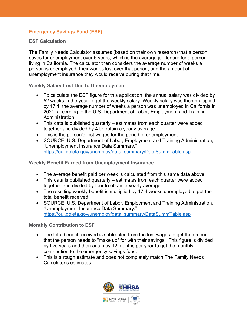#### **Emergency Savings Fund (ESF)**

**ESF Calculation**

The Family Needs Calculator assumes (based on their own research) that a person saves for unemployment over 5 years, which is the average job tenure for a person living in California. The calculator then considers the average number of weeks a person is unemployed, their wages lost over that period, and the amount of unemployment insurance they would receive during that time.

**Weekly Salary Lost Due to Unemployment**

- To calculate the ESF figure for this application, the annual salary was divided by 52 weeks in the year to get the weekly salary. Weekly salary was then multiplied by 17.4, the average number of weeks a person was unemployed in California in 2021, according to the U.S. Department of Labor, Employment and Training Administration.
- This data is published quarterly estimates from each quarter were added together and divided by 4 to obtain a yearly average.
- This is the person's lost wages for the period of unemployment.
- SOURCE: U.S. Department of Labor, Employment and Training Administration, "Unemployment Insurance Data Summary." [https://oui.doleta.gov/unemploy/data\\_summary/DataSummTable.asp](https://oui.doleta.gov/unemploy/data_summary/DataSummTable.asp)

**Weekly Benefit Earned from Unemployment Insurance**

- The average benefit paid per week is calculated from this same data above
- This data is published quarterly estimates from each quarter were added together and divided by four to obtain a yearly average.
- The resulting weekly benefit is multiplied by 17.4 weeks unemployed to get the total benefit received.
- SOURCE: U.S. Department of Labor, Employment and Training Administration, "Unemployment Insurance Data Summary." [https://oui.doleta.gov/unemploy/data\\_summary/DataSummTable.asp](https://oui.doleta.gov/unemploy/data_summary/DataSummTable.asp)

**Monthly Contribution to ESF**

- The total benefit received is subtracted from the lost wages to get the amount that the person needs to "make up" for with their savings. This figure is divided by five years and then again by 12 months per year to get the monthly contribution to the emergency savings fund.
- This is a rough estimate and does not completely match The Family Needs Calculator's estimates.